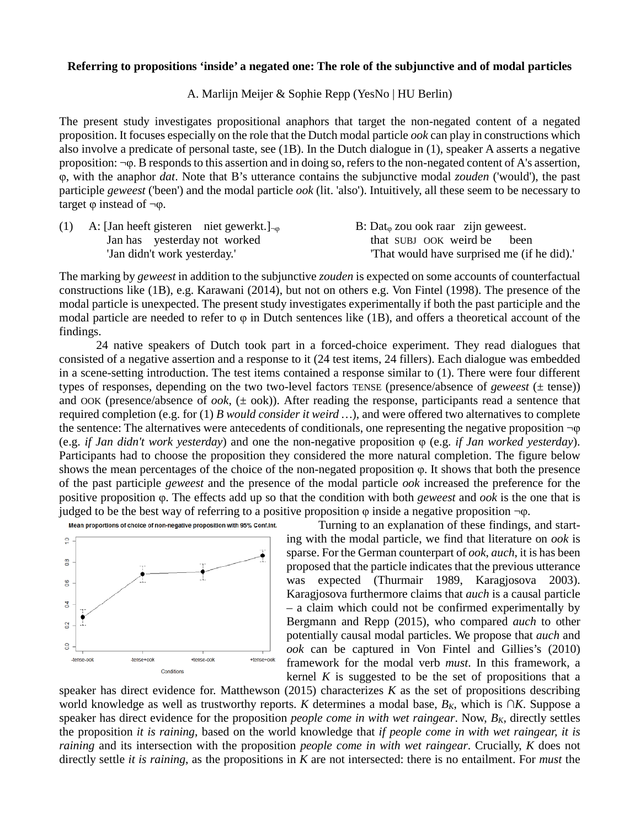## **Referring to propositions 'inside' a negated one: The role of the subjunctive and of modal particles**

## A. Marlijn Meijer & Sophie Repp (YesNo | HU Berlin)

The present study investigates propositional anaphors that target the non-negated content of a negated proposition. It focuses especially on the role that the Dutch modal particle *ook* can play in constructions which also involve a predicate of personal taste, see (1B). In the Dutch dialogue in (1), speaker A asserts a negative proposition: ¬φ. B responds to this assertion and in doing so, refers to the non-negated content of A's assertion, φ, with the anaphor *dat*. Note that B's utterance contains the subjunctive modal *zouden* ('would'), the past participle *geweest* ('been') and the modal particle *ook* (lit. 'also'). Intuitively, all these seem to be necessary to target  $φ$  instead of  $\neg φ$ .

| (1) A: [Jan heeft gisteren niet gewerkt.] <sub><math>\neg</math><math>\phi</math></sub> | B: Dat <sub><math>\varphi</math></sub> zou ook raar zijn geweest. |
|-----------------------------------------------------------------------------------------|-------------------------------------------------------------------|
| Jan has yesterday not worked                                                            | that SUBJ OOK weird be been                                       |
| 'Jan didn't work yesterday.'                                                            | That would have surprised me (if he did).                         |

The marking by *geweest* in addition to the subjunctive *zouden* is expected on some accounts of counterfactual constructions like (1B), e.g. Karawani (2014), but not on others e.g. Von Fintel (1998). The presence of the modal particle is unexpected. The present study investigates experimentally if both the past participle and the modal particle are needed to refer to  $\varphi$  in Dutch sentences like (1B), and offers a theoretical account of the findings.

24 native speakers of Dutch took part in a forced-choice experiment. They read dialogues that consisted of a negative assertion and a response to it (24 test items, 24 fillers). Each dialogue was embedded in a scene-setting introduction. The test items contained a response similar to (1). There were four different types of responses, depending on the two two-level factors TENSE (presence/absence of *geweest* (*±* tense)) and OOK (presence/absence of *ook*, (*±* ook)). After reading the response, participants read a sentence that required completion (e.g. for (1) *B would consider it weird …*), and were offered two alternatives to complete the sentence: The alternatives were antecedents of conditionals, one representing the negative proposition ¬φ (e.g. *if Jan didn't work yesterday*) and one the non-negative proposition φ (e.g. *if Jan worked yesterday*). Participants had to choose the proposition they considered the more natural completion. The figure below shows the mean percentages of the choice of the non-negated proposition φ. It shows that both the presence of the past participle *geweest* and the presence of the modal particle *ook* increased the preference for the positive proposition φ. The effects add up so that the condition with both *geweest* and *ook* is the one that is judged to be the best way of referring to a positive proposition  $\varphi$  inside a negative proposition  $\neg \varphi$ .



Turning to an explanation of these findings, and starting with the modal particle, we find that literature on *ook* is sparse. For the German counterpart of *ook*, *auch*, it is has been proposed that the particle indicates that the previous utterance was expected (Thurmair 1989, Karagjosova 2003). Karagjosova furthermore claims that *auch* is a causal particle – a claim which could not be confirmed experimentally by Bergmann and Repp (2015), who compared *auch* to other potentially causal modal particles. We propose that *auch* and *ook* can be captured in Von Fintel and Gillies's (2010) framework for the modal verb *must*. In this framework, a kernel  $K$  is suggested to be the set of propositions that a

speaker has direct evidence for. Matthewson  $(2015)$  characterizes *K* as the set of propositions describing world knowledge as well as trustworthy reports. *K* determines a modal base, *BK*, which is *∩K*. Suppose a speaker has direct evidence for the proposition *people come in with wet raingear*. Now,  $B_K$ , directly settles the proposition *it is raining*, based on the world knowledge that *if people come in with wet raingear, it is raining* and its intersection with the proposition *people come in with wet raingear*. Crucially, *K* does not directly settle *it is raining*, as the propositions in *K* are not intersected: there is no entailment. For *must* the